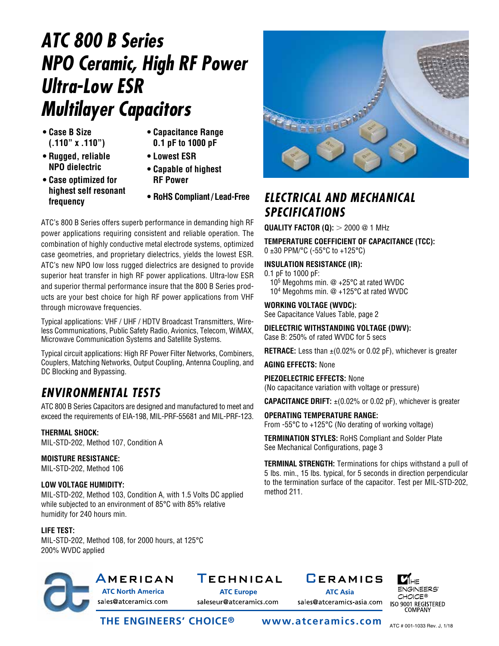# *ATC 800 B Series NPO Ceramic, High RF Power Ultra-Low ESR Multilayer Capacitors*

- **Case B Size (.110" x .110")**
- **Capacitance Range 0.1 pF to 1000 pF**
- **Rugged, reliable NPO dielectric**
- **Lowest ESR**
- **Case optimized for highest self resonant frequency**
- **Capable of highest RF Power**
- **RoHS Compliant/ Lead-Free**

ATC's 800 B Series offers superb performance in demanding high RF power applications requiring consistent and reliable operation. The combination of highly conductive metal electrode systems, optimized case geometries, and proprietary dielectrics, yields the lowest ESR. ATC's new NPO low loss rugged dielectrics are designed to provide superior heat transfer in high RF power applications. Ultra-low ESR and superior thermal performance insure that the 800 B Series products are your best choice for high RF power applications from VHF through microwave frequencies.

Typical applications: VHF / UHF / HDTV Broadcast Transmitters, Wireless Communications, Public Safety Radio, Avionics, Telecom, WiMAX, Microwave Communication Systems and Satellite Systems.

Typical circuit applications: High RF Power Filter Networks, Combiners, Couplers, Matching Networks, Output Coupling, Antenna Coupling, and DC Blocking and Bypassing.

### *ENVIRONMENTAL TESTS*

ATC 800 B Series Capacitors are designed and manufactured to meet and exceed the requirements of EIA-198, MIL-PRF-55681 and MIL-PRF-123.

### **THERMAL SHOCK:**

MIL-STD-202, Method 107, Condition A

#### **MOISTURE RESISTANCE:**

MIL-STD-202, Method 106

### **LOW VOLTAGE HUMIDITY:**

MIL-STD-202, Method 103, Condition A, with 1.5 Volts DC applied while subjected to an environment of 85°C with 85% relative humidity for 240 hours min.

#### **LIFE TEST:**

MIL-STD-202, Method 108, for 2000 hours, at 125°C 200% WVDC applied



### *ELECTRICAL AND MECHANICAL SPECIFICATIONS*

**QUALITY FACTOR (Q):**  $>$  2000 @ 1 MHz

**TEMPERATURE COEFFICIENT OF CAPACITANCE (TCC):** 0 ±30 PPM/°C (-55°C to +125°C)

### **INSULATION RESISTANCE (IR):**

0.1 pF to 1000 pF: 105 Megohms min. @ +25°C at rated WVDC 104 Megohms min. @ +125°C at rated WVDC

**WORKING VOLTAGE (WVDC):**

See Capacitance Values Table, page 2

**DIELECTRIC WITHSTANDING VOLTAGE (DWV):** Case B: 250% of rated WVDC for 5 secs

**RETRACE:** Less than  $\pm$ (0.02% or 0.02 pF), whichever is greater

**AGING EFFECTS:** None

**PIEZOELECTRIC EFFECTS:** None (No capacitance variation with voltage or pressure)

**CAPACITANCE DRIFT:**  $\pm$ (0.02% or 0.02 pF), whichever is greater

**OPERATING TEMPERATURE RANGE:** From -55°C to +125°C (No derating of working voltage)

**TERMINATION STYLES:** RoHS Compliant and Solder Plate See Mechanical Configurations, page 3

**TERMINAL STRENGTH:** Terminations for chips withstand a pull of 5 lbs. min., 15 lbs. typical, for 5 seconds in direction perpendicular to the termination surface of the capacitor. Test per MIL-STD-202, method 211.



sales@atceramics.com

### AMERICAN TECHNICAL CERAMICS

**ATC Europe** saleseur@atceramics.com **ATC Asia** 

sales@atceramics-asia.com



**THE ENGINEERS' CHOICE® www.atceramics.com**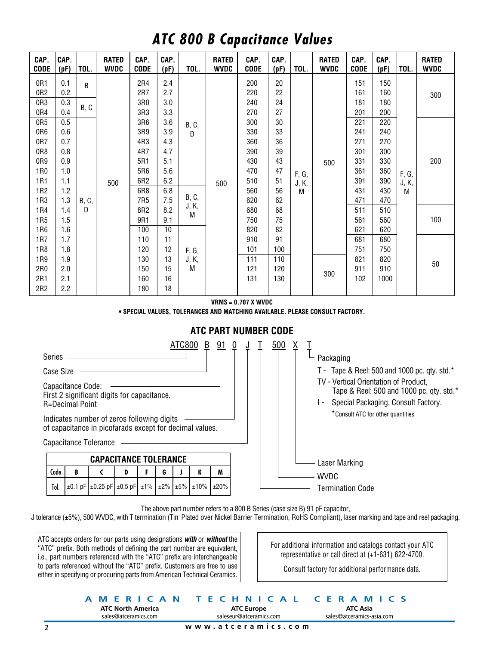### *ATC 800 B Capacitance Values*

| CAP.<br><b>CODE</b>    | CAP.<br>(pF) | TOL.               | <b>RATED</b><br><b>WVDC</b> | CAP.<br><b>CODE</b>    | CAP.<br>(pF) | TOL.           | <b>RATED</b><br><b>WVDC</b> | CAP.<br><b>CODE</b> | CAP.<br>(pF) | TOL.       | <b>RATED</b><br><b>WVDC</b> | CAP.<br><b>CODE</b> | CAP.<br>(pF) | TOL.       | <b>RATED</b><br><b>WVDC</b> |
|------------------------|--------------|--------------------|-----------------------------|------------------------|--------------|----------------|-----------------------------|---------------------|--------------|------------|-----------------------------|---------------------|--------------|------------|-----------------------------|
| 0R1<br>0R <sub>2</sub> | 0.1<br>0.2   | B                  |                             | 2R4<br>2R7             | 2.4<br>2.7   |                |                             | 200<br>220          | 20<br>22     |            |                             | 151<br>161          | 150<br>160   |            | 300                         |
| 0R3<br>0R4             | 0.3<br>0.4   | B, C               |                             | 3R0<br>3R3             | 3.0<br>3.3   |                |                             | 240<br>270          | 24<br>27     |            |                             | 181<br>201          | 180<br>200   |            |                             |
| 0R5<br>0R <sub>6</sub> | 0.5<br>0.6   |                    |                             | 3R6<br>3R9             | 3.6<br>3.9   | B, C,          |                             | 300<br>330          | 30<br>33     |            |                             | 221<br>241          | 220<br>240   |            |                             |
| 0R7                    | 0.7          |                    |                             | 4R3                    | 4.3          | $\mathsf{D}$   |                             | 360                 | 36           |            |                             | 271                 | 270          |            |                             |
| 0R8<br>0R9             | 0.8<br>0.9   |                    |                             | 4R7<br>5R1             | 4.7<br>5.1   |                |                             | 390<br>430          | 39<br>43     |            | 500                         | 301<br>331          | 300<br>330   |            | 200                         |
| 1R0<br>1R1             | 1.0<br>1.1   |                    |                             | 5R6<br>6R2             | 5.6<br>6.2   |                |                             | 470<br>510          | 47<br>51     | F, G,      |                             | 361<br>391          | 360<br>390   | F, G,      |                             |
| 1R <sub>2</sub>        | 1.2          |                    | 500                         | 6R8                    | 6.8          | <b>B</b> , C,  | 500                         | 560                 | 56           | J, K,<br>M |                             | 431                 | 430          | J, K,<br>M |                             |
| 1R3<br>1R4             | 1.3<br>1.4   | <b>B</b> , C,<br>D |                             | 7R <sub>5</sub><br>8R2 | 7.5<br>8.2   | J, K,          |                             | 620<br>680          | 62<br>68     |            |                             | 471<br>511          | 470<br>510   |            |                             |
| 1R <sub>5</sub>        | 1.5          |                    |                             | 9R1                    | 9.1          | M              |                             | 750                 | 75           |            |                             | 561                 | 560          |            | 100                         |
| 1R <sub>6</sub><br>1R7 | 1.6<br>1.7   |                    |                             | 100<br>110             | 10<br>11     |                |                             | 820<br>910          | 82<br>91     |            |                             | 621<br>681          | 620<br>680   |            |                             |
| 1R8<br>1R9             | 1.8<br>1.9   |                    |                             | 120<br>130             | 12<br>13     | F, G,<br>J, K, |                             | 101<br>111          | 100<br>110   |            |                             | 751<br>821          | 750<br>820   |            | 50                          |
| 2R0                    | 2.0          |                    |                             | 150                    | 15           | M              |                             | 121                 | 120          |            | 300                         | 911                 | 910          |            |                             |
| 2R1<br>2R2             | 2.1<br>2.2   |                    |                             | 160<br>180             | 16<br>18     |                |                             | 131                 | 130          |            |                             | 102                 | 1000         |            |                             |

#### **VRMS = 0.707 X WVDC**

**• SPECIAL VALUES, TOLERANCES AND MATCHING AVAILABLE. PLEASE CONSULT FACTORY.**

**ATC PART NUMBER CODE**



The above part number refers to a 800 B Series (case size B) 91 pF capacitor,

J tolerance (±5%), 500 WVDC, with T termination (Tin Plated over Nickel Barrier Termination, RoHS Compliant), laser marking and tape and reel packaging.

ATC accepts orders for our parts using designations *with* or *without* the "ATC" prefix. Both methods of defining the part number are equivalent, i.e., part numbers referenced with the "ATC" prefix are interchangeable to parts referenced without the "ATC" prefix. Customers are free to use either in specifying or procuring parts from American Technical Ceramics.

For additional information and catalogs contact your ATC representative or call direct at (+1-631) 622-4700.

Consult factory for additional performance data.

**ATC North America** sales@atceramics.com

**ATC Europe** saleseur@atceramics.com

**AMERICAN TECHNICAL CERAMICS ATC Asia** sales@atceramics-asia.com

**www.atceramics.com**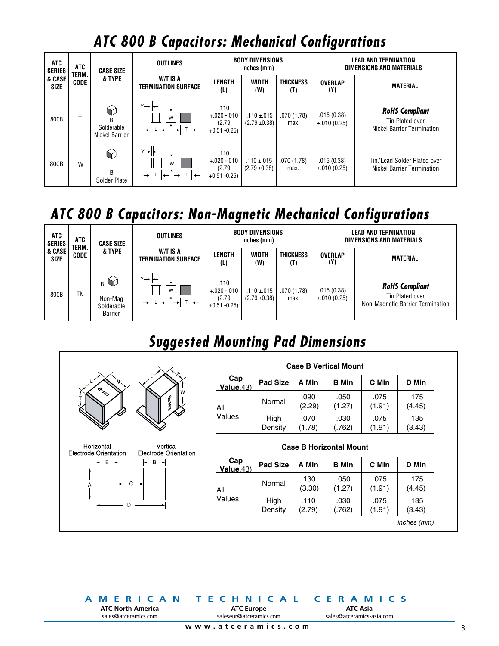# *ATC 800 B Capacitors: Mechanical Configurations*

| <b>ATC</b><br><b>SERIES</b> | ATC<br>TERM. | <b>CASE SIZE</b>                                             | <b>OUTLINES</b>                                                             |                                                  | <b>BODY DIMENSIONS</b><br>Inches (mm) |                         | <b>LEAD AND TERMINATION</b><br>DIMENSIONS AND MATERIALS |                                                                        |  |
|-----------------------------|--------------|--------------------------------------------------------------|-----------------------------------------------------------------------------|--------------------------------------------------|---------------------------------------|-------------------------|---------------------------------------------------------|------------------------------------------------------------------------|--|
| & CASE<br><b>SIZE</b>       | <b>CODE</b>  | & TYPE                                                       | W/T IS A<br>TERMINATION SURFACE                                             | <b>LENGTH</b><br>(L)                             | <b>WIDTH</b><br>(W)                   | <b>THICKNESS</b><br>(T) | <b>OVERLAP</b><br>(Y)                                   | <b>MATERIAL</b>                                                        |  |
| 800B                        |              | $\heartsuit$<br><sub>R</sub><br>Solderable<br>Nickel Barrier | Y→⊩<br>W<br>$1 \leftarrow$ <sup>1</sup><br>$T \rightarrow$<br>$\rightarrow$ | .110<br>$+.020-.010$<br>(2.79)<br>$+0.51 - 0.25$ | $.110 \pm .015$<br>$(2.79 \pm 0.38)$  | .070(1.78)<br>max.      | .015(0.38)<br>$\pm .010(0.25)$                          | <b>RoHS Compliant</b><br>Tin Plated over<br>Nickel Barrier Termination |  |
| 800B                        | W            | $\bigcirc$<br>B<br>Solder Plate                              | $Y \rightarrow 1$<br>W<br>$T$ $\leftarrow$<br>$\rightarrow$                 | .110<br>$+.020-.010$<br>(2.79)<br>$+0.51 - 0.25$ | $.110 + .015$<br>$(2.79 \pm 0.38)$    | .070(1.78)<br>max.      | .015(0.38)<br>$\pm .010(0.25)$                          | Tin/Lead Solder Plated over<br>Nickel Barrier Termination              |  |

## *ATC 800 B Capacitors: Non-Magnetic Mechanical Configurations*

| ATC<br><b>SERIES</b><br>& CASE<br><b>SIZE</b> | ATC<br>TERM. | <b>CASE SIZE</b>                                             | <b>OUTLINES</b>                 | <b>BODY DIMENSIONS</b><br>Inches (mm)            |                                      |                         | <b>LEAD AND TERMINATION</b><br><b>DIMENSIONS AND MATERIALS</b> |                                                                              |  |
|-----------------------------------------------|--------------|--------------------------------------------------------------|---------------------------------|--------------------------------------------------|--------------------------------------|-------------------------|----------------------------------------------------------------|------------------------------------------------------------------------------|--|
|                                               | <b>CODE</b>  | & TYPE                                                       | W/T IS A<br>TERMINATION SURFACE | LENGTH<br>(L)                                    | <b>WIDTH</b><br>(W)                  | <b>THICKNESS</b><br>(T) | <b>OVERLAP</b><br>(Y)                                          | <b>MATERIAL</b>                                                              |  |
| 800B                                          | <b>TN</b>    | $_{B}$ $\bigcirc$<br>Non-Mag<br>Solderable<br><b>Barrier</b> | $Y \rightarrow  $<br>W          | .110<br>$+.020-.010$<br>(2.79)<br>$+0.51 - 0.25$ | $.110 \pm .015$<br>$(2.79 \pm 0.38)$ | .070(1.78)<br>max.      | .015(0.38)<br>±.010(0.25)                                      | <b>RoHS Compliant</b><br>Tin Plated over<br>Non-Magnetic Barrier Termination |  |

# *Suggested Mounting Pad Dimensions*



#### **Cap Value**.43) **Pad Size A Min B Min C Min D Min** All Values Normal  $.090$  (2.29) .050 (1.27) .075 (1.91) .175 (4.45) High **Density** .070 (1.78) .030 (.762) .075 (1.91) .135 (3.43) **Case B Vertical Mount**

#### **Cap Value**.43) **Pad Size A Min B Min C Min D Min** All Values Normal  $\Big|$  .130 (3.30) .050 (1.27) .075 (1.91) .175 (4.45) High **Density** .110 (2.79) .030 (.762) .075 (1.91) .135 (3.43) **Case B Horizontal Mount** *inches (mm)*

**ATC North America** sales@atceramics.com

**ATC Europe** saleseur@atceramics.com

**AMERICAN TECHNICAL CERAMICS ATC Asia** sales@atceramics-asia.com

**www.atceramics.com**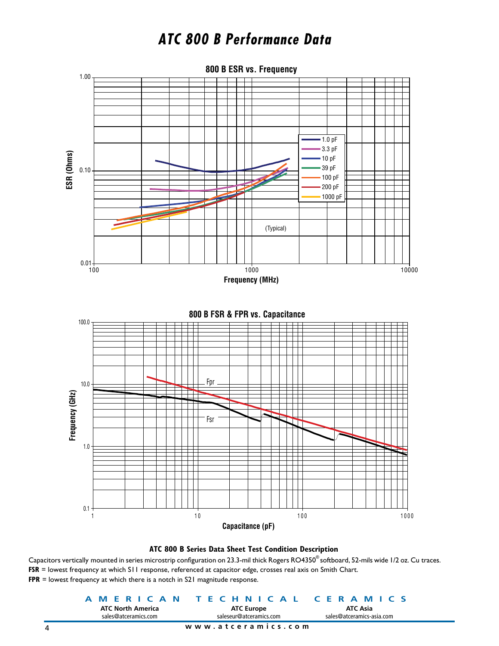### *ATC 800 B Performance Data*



#### **ATC 800 B Series Data Sheet Test Condition Description**

Capacitors vertically mounted in series microstrip configuration on 23.3-mil thick Rogers RO4350® softboard, 52-mils wide 1/2 oz. Cu traces. **FSR** = lowest frequency at which S11 response, referenced at capacitor edge, crosses real axis on Smith Chart. **FPR** = lowest frequency at which there is a notch in S21 magnitude response.

| <b>ATC North America</b> | A MERICAN TECHNICAL CERAMICS<br><b>ATC Europe</b> | ATC Asia                  |  |  |
|--------------------------|---------------------------------------------------|---------------------------|--|--|
| sales@atceramics.com     | saleseur@atceramics.com                           | sales@atceramics-asia.com |  |  |
|                          | www.atceramics.com                                |                           |  |  |